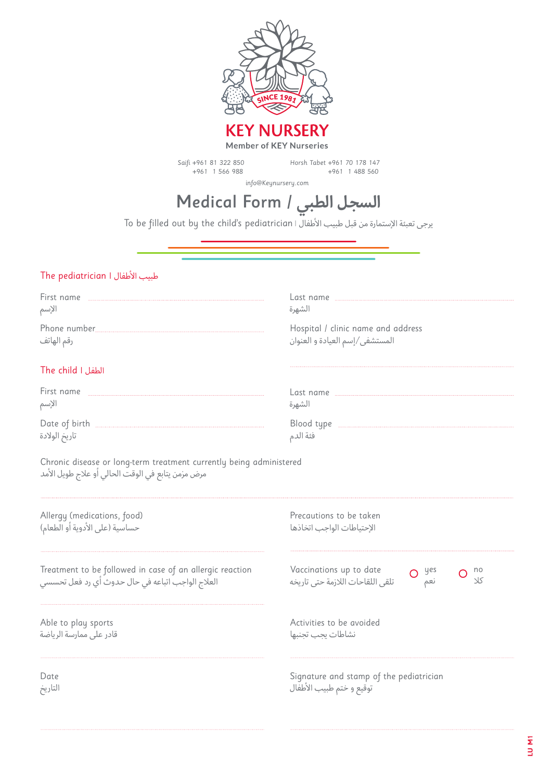

Saifi +961 81 322 850 +961 1 566 988

Horsh Tabet +961 70 178 147 +961 1 488 560

info@Keynursery.com

# **السجل الطبي** / Form Medical

To be filled out by the child's pediatrician | األطفال طبيب قبل من اإلستمارة تعبئة يرجى

#### طبيب األطفال **|** pediatrician The

۔<br>تاريخ الولادة

| First name        | _ast name                          |
|-------------------|------------------------------------|
|                   |                                    |
| الإسم             | الشهرة                             |
|                   | Hospital / clinic name and address |
| رقم الهاتف        | المستشفى/إسم العيادة و العنوان     |
| The child I الطفل |                                    |
| First name        | Last name                          |
|                   |                                    |
| الإسم             | الشهرة                             |
| Date of birth     | Blood type                         |
|                   |                                    |

فئة الدم

Chronic disease or long-term treatment currently being administered مرض مزمن يتابع في الوقت الحالي أو عالج طويل األمد

| Allergy (medications, food)<br>حساسية (على الأدوية أو الطعام)                                                | Precautions to be taken<br>الإحتياطات الواحب اتخاذها                      |
|--------------------------------------------------------------------------------------------------------------|---------------------------------------------------------------------------|
| Treatment to be followed in case of an allergic reaction<br>العلاج الواجب اتباعه في حال حدوث أي رد فعل تحسسي | Vaccinations up to date<br>yes<br>نعم<br>تلقى اللقاحات اللازمة حتى تاريخه |
| Able to play sports<br>قادر على ممارسة الرياضة                                                               | Activities to be avoided<br>نشاطات ىحب تحنىها                             |
| Date<br>التاريخ.                                                                                             | Signature and stamp of the pediatrician<br>توقيع و ختم طبيب الأطفال       |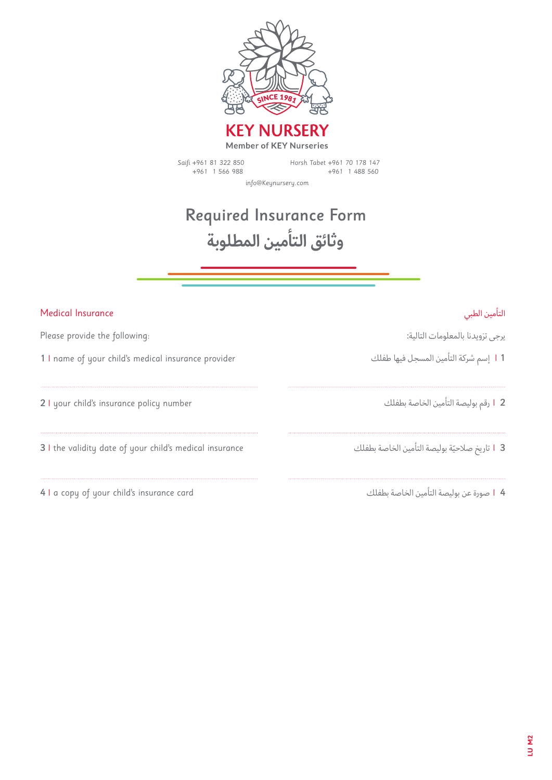

Saifi +961 81 322 850 +961 1 566 988 Horsh Tabet +961 70 178 147 +961 1 488 560

info@Keynursery.com

## Required Insurance Form **وثائق التأمين المطلوبة**

| Medical Insurance                                       | التأمين الطبى                                    |
|---------------------------------------------------------|--------------------------------------------------|
| Please provide the following:                           | يرجى تزويدنا بالمعلومات التالية:                 |
| 1 I name of your child's medical insurance provider     | l 1 إسم شركة التأمين المسجل فيها طفلك            |
| 2 I your child's insurance policy number                | 2   I رقم بوليصة التأمين الخاصة بطفلك            |
| 3 I the validity date of your child's medical insurance | 3   I  تاريخ صلاحيّة بوليصة التأمين الخاصة بطفلك |
| 4 I a copy of your child's insurance card               | 4   ا صورة عن بوليصة التأمين الخاصة بطفلك        |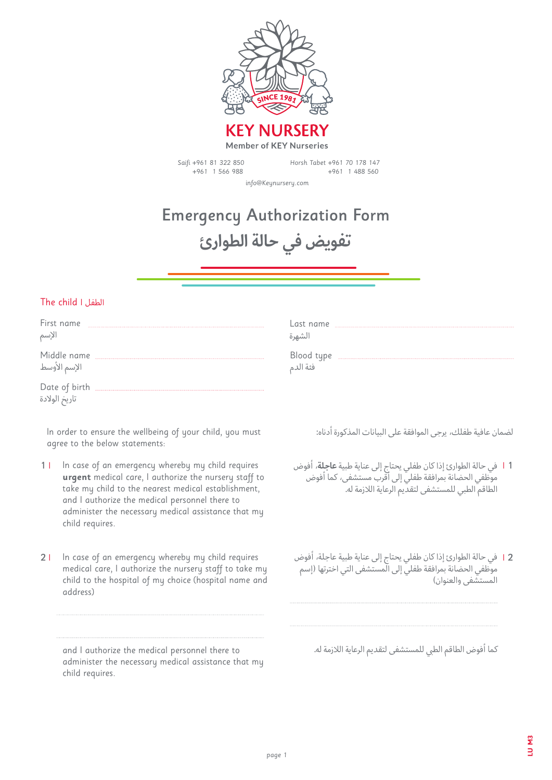

Saifi +961 81 322 850 +961 1 566 988

Horsh Tabet +961 70 178 147 +961 1 488 560

info@Keynursery.com

# Emergency Authorization Form **تفويض في حالة الطوارئ**

#### The child **|** الطفل

| First name                     | Last name  |
|--------------------------------|------------|
|                                |            |
| الإسم                          | الشهرة     |
| Middle name                    | Blood type |
|                                |            |
| الإسم الأوسط                   | فئة الدم   |
| Date of birth<br>ناريخ الولادة |            |

In order to ensure the wellbeing of your child, you must agree to the below statements:

- In case of an emergency whereby my child requires **urgent** medical care, I authorize the nursery staff to take my child to the nearest medical establishment, and I authorize the medical personnel there to administer the necessary medical assistance that my child requires. 1 **|**
- In case of an emergency whereby my child requires medical care, I authorize the nursery staff to take my child to the hospital of my choice (hospital name and address) 2 **|**

and I authorize the medical personnel there to administer the necessary medical assistance that my child requires.

لضمان عافية طفلك، يرجى الموافقة على البيانات المذكورة أدناه:

- في حالة الطوارئ إذا كان طفلي يحتاج إلى عناية طبية **عاجلة**، أفوض **|** 1 موظفي الحضانة بمرافقة طفلي إلى أقرب مستشفى، كما أفوض الطاقم الطبي للمستشفى لتقديم الرعاية الالزمة له.
- في حالة الطوارئ إذا كان طفلي يحتاج إلى عناية طبية عاجلة، أفوض **|** 2 موظفي الحضانة بمرافقة طفلي إلى المستشفى التي اخترتها )إسم المستشفى والعنوان)

كما أفوض الطاقم الطى للمستشفى لتقديم الرعاية اللازمة له.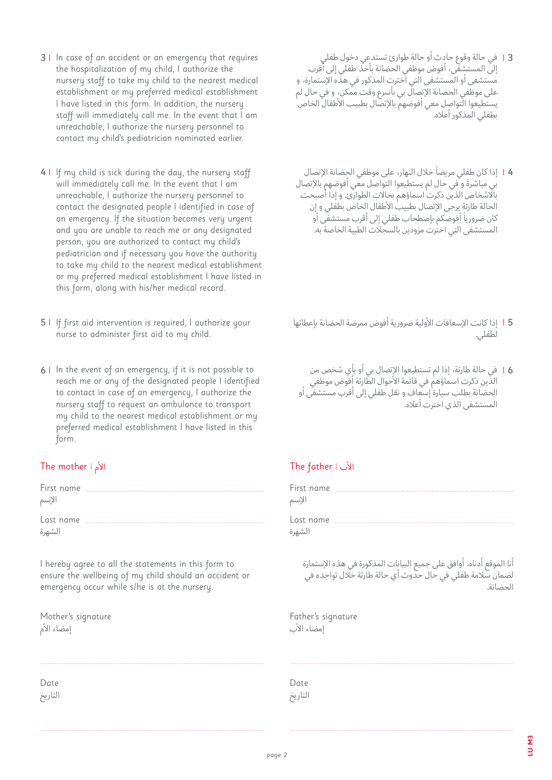- في حالة وقوع حادث أو حالة طوارئ تستدعي دخول طفلي **|** 3 إلى المستشفى، أفوض موظفي الحضانة بأخذ طفلي إلى أقرب مستشفى أو المستشفى التي اخترت المذكور في هذه اإلستمارة، و على موظفي الحضانة الإتصالّ بي بأسرع وقت ممّكن، و في حال لم يستطيعوا التواصل معي أفوضهم بالإتصال بطبيب الأطفال الخاص بطفلي المذكور أعاله.
- ً إذا كان طفلي مريضا خالل النهار، على موظفي الحضانة اإلتصال **|** 4 ً بي مباشرة و في حال لم يستطيعوا التواصل معي أفوضهم باإلتصال باالشخاص الذين ذكرت اسماؤهم بحاالت الطوارئ. و إذا أصبحت الحالة طارئة يرجى الإتصال بطبيب الأطفال الخاص بطفلي و إن ً كان ضروريا أفوضكم بإصطحاب طفلي إلى أقرب مستشفى أو المستشفى التي اخترت مزودين بالسجلات الطبية الخاصة به.

- إذا كانت اإلسعافات األولية ضرورية أفوض ممرضة الحضانة بإعطائها **|** 5 لطفلي.
	- في حالة طارئة، إذا لم تستطيعوا اإلتصال بي أو بأي شخص من **|** 6 الذّين ذكرت اسماؤهمٰ في قائمة الأحوال الطّارئة أفوض موظفي الحضانة بطلب سيارة إسعاف و نقل طفلي إلى أقرب مستشفى أو المستشفى الذي اخترت أعاله.

#### The father | األب

| First name<br>الإسم |  |
|---------------------|--|
| Last name<br>الشهرة |  |

أنا الموقع أدناه، أوافق على جميع البيانات المذكورة في هذه اإلستمارة لضمان سالمة طفلي في حال حدوث أي حالة طارئة خالل تواجده في الحضانة.

Father's signature إمضاء الأب

Date التاريخ

- 4 I If my child is sick during the day, the nursery staff will immediately call me. In the event that I am unreachable, I authorize the nursery personnel to contact the designated people I identified in case of an emergency. If the situation becomes very urgent and you are unable to reach me or any designated person, you are authorized to contact my child's pediatrician and if necessary you have the authority to take my child to the nearest medical establishment or my preferred medical establishment I have listed in this form, along with his/her medical record.
- If first aid intervention is required, I authorize your 5 **|**  nurse to administer first aid to my child.
- **6** I In the event of an emergency, if it is not possible to reach me or any of the designated people I identified to contact in case of an emergency, I authorize the nursery staff to request an ambulance to transport my child to the nearest medical establishment or my preferred medical establishment I have listed in this form.

### The mother | األم

| First name<br>الإسم |  |
|---------------------|--|
| Last name<br>الشهرة |  |

I hereby agree to all the statements in this form to ensure the wellbeing of my child should an accident or emergency occur while s/he is at the nursery.

Mother's signature إمضاء الأم

Date التاريخ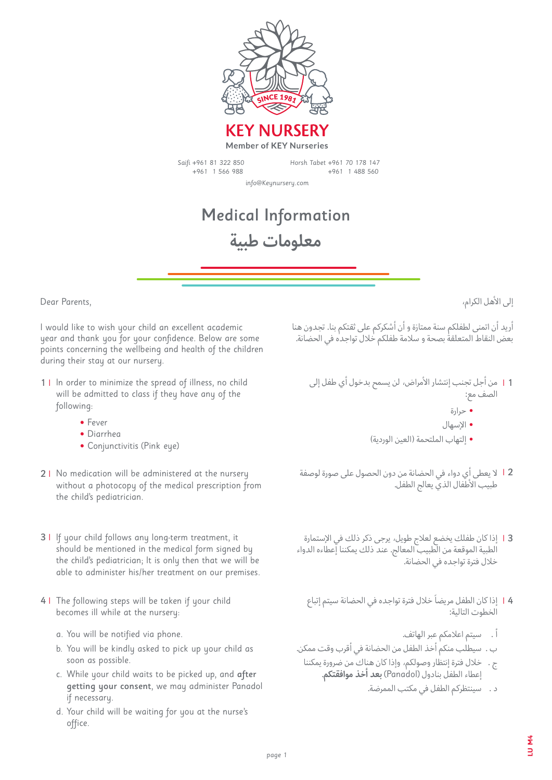

Saifi +961 81 322 850 +961 1 566 988

Horsh Tabet +961 70 178 147 +961 1 488 560

info@Keynursery.com

### Medical Information **معلومات طبية**

Dear Parents,

I would like to wish your child an excellent academic year and thank you for your confidence. Below are some points concerning the wellbeing and health of the children during their stay at our nursery.

- 11 In order to minimize the spread of illness, no child will be admitted to class if they have any of the following:
	- Fever
	- Diarrhea
	- Conjunctivitis (Pink eye)
- No medication will be administered at the nursery 2 **|** without a photocopy of the medical prescription from the child's pediatrician.
- If your child follows any long-term treatment, it 3 **|**  should be mentioned in the medical form signed by the child's pediatrician; It is only then that we will be able to administer his/her treatment on our premises.
- 41 The following steps will be taken if your child becomes ill while at the nursery:
	- a. You will be notified via phone.
	- b. You will be kindly asked to pick up your child as soon as possible.
	- c. While your child waits to be picked up, and after getting your consent, we may administer Panadol if necessary.
	- d. Your child will be waiting for you at the nurse's office.

إلى الأهل الكرام،

أريد أن اتمنى لطفلكم سنة ممتازة و أن أشكركم على ثقتكم بنا. تجدون هنا بعض النقاط المتعلقة بصحة و سالمة طفلكم خالل تواجده في الحضانة.

- من أجل تجنب إنتشار األمراض، لن يسمح بدخول أي طفل إلى **|** 1 الصف مع:
	- **•** حرارة
	- **•** اإلسهال
	- **•** إلتهاب الملتحمة )العين الوردية(
- ال يعطى أي دواء في الحضانة من دون الحصول على صورة لوصفة **|** 2 طبيب الأطفال الذي يعالج الطفل.
- إذا كان طفلك يخضع لعالج طويل، يرجى ذكر ذلك في اإلستمارة **|** 3 الطبية الموقعة من الطبيب المعالج. عند ذلك يمكننا إعطاءه الدواء خالل فترة تواجده في الحضانة.
	- ً إذا كان الطفل مريضا خالل فترة تواجده في الحضانة سيتم إتباع **|** 4 الخطوت التالية:
		- أ . سيتم اعالمكم عبر الهاتف.
- ب . سيطلب منكم أخذ الطفل من الحضانة في أقرب وقت ممكن.
	- ج . خالل فترة إنتظار وصولكم، وإذا كان هناك من ضرورة يمكننا إعطاء الطفل بنادول (Panadol (**بعد أخذ موافقتكم**.
		- د . سينتظركم الطفل في مكتب الممرضة.